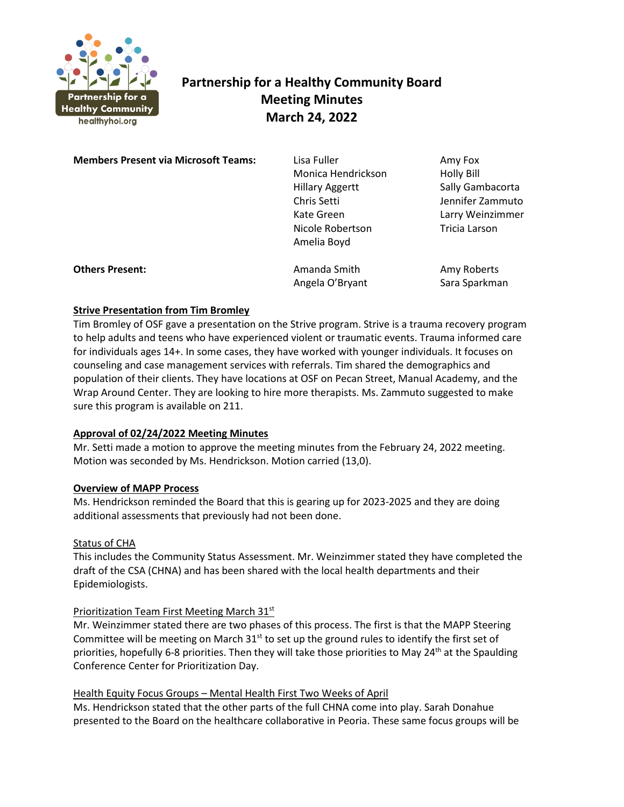

# **Partnership for a Healthy Community Board Meeting Minutes March 24, 2022**

**Members Present via Microsoft Teams:** Lisa Fuller **Amy Fox** Amy Fox Monica Hendrickson Holly Bill Hillary Aggertt Sally Gambacorta Chris Setti Jennifer Zammuto Kate Green Larry Weinzimmer Nicole Robertson **Tricia Larson** Amelia Boyd **Others Present:** Amanda Smith Amy Roberts Amy Roberts

**Strive Presentation from Tim Bromley**

Tim Bromley of OSF gave a presentation on the Strive program. Strive is a trauma recovery program to help adults and teens who have experienced violent or traumatic events. Trauma informed care for individuals ages 14+. In some cases, they have worked with younger individuals. It focuses on counseling and case management services with referrals. Tim shared the demographics and population of their clients. They have locations at OSF on Pecan Street, Manual Academy, and the Wrap Around Center. They are looking to hire more therapists. Ms. Zammuto suggested to make sure this program is available on 211.

Angela O'Bryant Sara Sparkman

## **Approval of 02/24/2022 Meeting Minutes**

Mr. Setti made a motion to approve the meeting minutes from the February 24, 2022 meeting. Motion was seconded by Ms. Hendrickson. Motion carried (13,0).

## **Overview of MAPP Process**

Ms. Hendrickson reminded the Board that this is gearing up for 2023-2025 and they are doing additional assessments that previously had not been done.

## Status of CHA

This includes the Community Status Assessment. Mr. Weinzimmer stated they have completed the draft of the CSA (CHNA) and has been shared with the local health departments and their Epidemiologists.

## Prioritization Team First Meeting March 31<sup>st</sup>

Mr. Weinzimmer stated there are two phases of this process. The first is that the MAPP Steering Committee will be meeting on March 31<sup>st</sup> to set up the ground rules to identify the first set of priorities, hopefully 6-8 priorities. Then they will take those priorities to May 24<sup>th</sup> at the Spaulding Conference Center for Prioritization Day.

## Health Equity Focus Groups – Mental Health First Two Weeks of April

Ms. Hendrickson stated that the other parts of the full CHNA come into play. Sarah Donahue presented to the Board on the healthcare collaborative in Peoria. These same focus groups will be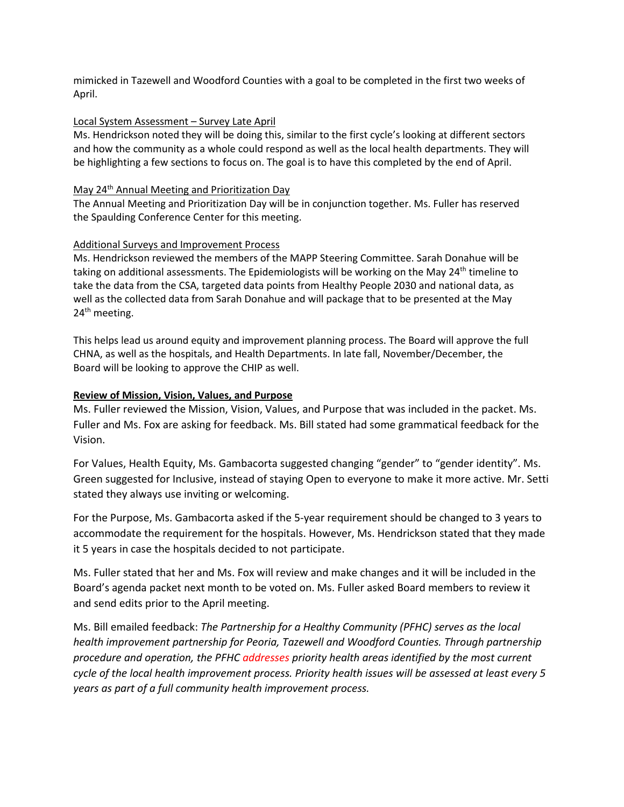mimicked in Tazewell and Woodford Counties with a goal to be completed in the first two weeks of April.

## Local System Assessment – Survey Late April

Ms. Hendrickson noted they will be doing this, similar to the first cycle's looking at different sectors and how the community as a whole could respond as well as the local health departments. They will be highlighting a few sections to focus on. The goal is to have this completed by the end of April.

#### May 24<sup>th</sup> Annual Meeting and Prioritization Day

The Annual Meeting and Prioritization Day will be in conjunction together. Ms. Fuller has reserved the Spaulding Conference Center for this meeting.

## Additional Surveys and Improvement Process

Ms. Hendrickson reviewed the members of the MAPP Steering Committee. Sarah Donahue will be taking on additional assessments. The Epidemiologists will be working on the May  $24<sup>th</sup>$  timeline to take the data from the CSA, targeted data points from Healthy People 2030 and national data, as well as the collected data from Sarah Donahue and will package that to be presented at the May 24<sup>th</sup> meeting.

This helps lead us around equity and improvement planning process. The Board will approve the full CHNA, as well as the hospitals, and Health Departments. In late fall, November/December, the Board will be looking to approve the CHIP as well.

## **Review of Mission, Vision, Values, and Purpose**

Ms. Fuller reviewed the Mission, Vision, Values, and Purpose that was included in the packet. Ms. Fuller and Ms. Fox are asking for feedback. Ms. Bill stated had some grammatical feedback for the Vision.

For Values, Health Equity, Ms. Gambacorta suggested changing "gender" to "gender identity". Ms. Green suggested for Inclusive, instead of staying Open to everyone to make it more active. Mr. Setti stated they always use inviting or welcoming.

For the Purpose, Ms. Gambacorta asked if the 5-year requirement should be changed to 3 years to accommodate the requirement for the hospitals. However, Ms. Hendrickson stated that they made it 5 years in case the hospitals decided to not participate.

Ms. Fuller stated that her and Ms. Fox will review and make changes and it will be included in the Board's agenda packet next month to be voted on. Ms. Fuller asked Board members to review it and send edits prior to the April meeting.

Ms. Bill emailed feedback: *The Partnership for a Healthy Community (PFHC) serves as the local health improvement partnership for Peoria, Tazewell and Woodford Counties. Through partnership procedure and operation, the PFHC addresses priority health areas identified by the most current cycle of the local health improvement process. Priority health issues will be assessed at least every 5 years as part of a full community health improvement process.*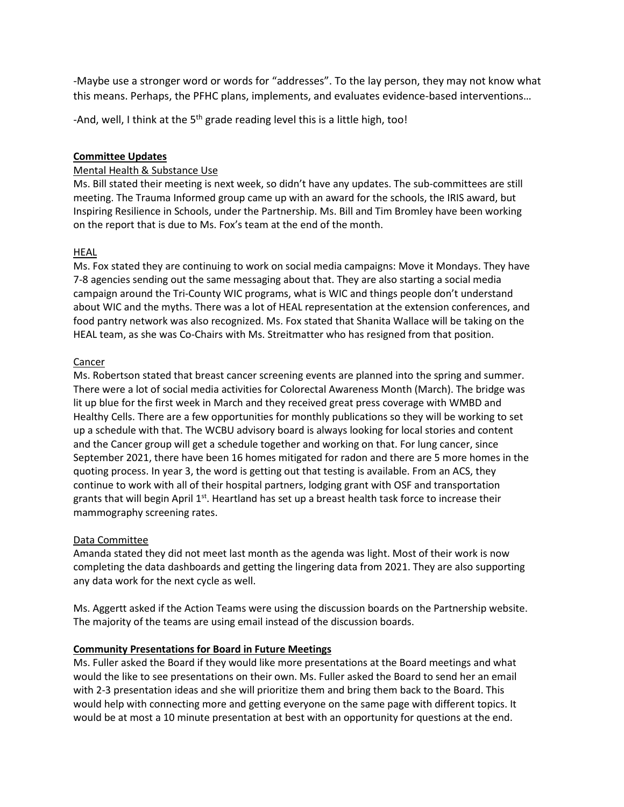-Maybe use a stronger word or words for "addresses". To the lay person, they may not know what this means. Perhaps, the PFHC plans, implements, and evaluates evidence-based interventions…

-And, well, I think at the  $5<sup>th</sup>$  grade reading level this is a little high, too!

## **Committee Updates**

#### Mental Health & Substance Use

Ms. Bill stated their meeting is next week, so didn't have any updates. The sub-committees are still meeting. The Trauma Informed group came up with an award for the schools, the IRIS award, but Inspiring Resilience in Schools, under the Partnership. Ms. Bill and Tim Bromley have been working on the report that is due to Ms. Fox's team at the end of the month.

#### HEAL

Ms. Fox stated they are continuing to work on social media campaigns: Move it Mondays. They have 7-8 agencies sending out the same messaging about that. They are also starting a social media campaign around the Tri-County WIC programs, what is WIC and things people don't understand about WIC and the myths. There was a lot of HEAL representation at the extension conferences, and food pantry network was also recognized. Ms. Fox stated that Shanita Wallace will be taking on the HEAL team, as she was Co-Chairs with Ms. Streitmatter who has resigned from that position.

#### Cancer

Ms. Robertson stated that breast cancer screening events are planned into the spring and summer. There were a lot of social media activities for Colorectal Awareness Month (March). The bridge was lit up blue for the first week in March and they received great press coverage with WMBD and Healthy Cells. There are a few opportunities for monthly publications so they will be working to set up a schedule with that. The WCBU advisory board is always looking for local stories and content and the Cancer group will get a schedule together and working on that. For lung cancer, since September 2021, there have been 16 homes mitigated for radon and there are 5 more homes in the quoting process. In year 3, the word is getting out that testing is available. From an ACS, they continue to work with all of their hospital partners, lodging grant with OSF and transportation grants that will begin April 1<sup>st</sup>. Heartland has set up a breast health task force to increase their mammography screening rates.

## Data Committee

Amanda stated they did not meet last month as the agenda was light. Most of their work is now completing the data dashboards and getting the lingering data from 2021. They are also supporting any data work for the next cycle as well.

Ms. Aggertt asked if the Action Teams were using the discussion boards on the Partnership website. The majority of the teams are using email instead of the discussion boards.

#### **Community Presentations for Board in Future Meetings**

Ms. Fuller asked the Board if they would like more presentations at the Board meetings and what would the like to see presentations on their own. Ms. Fuller asked the Board to send her an email with 2-3 presentation ideas and she will prioritize them and bring them back to the Board. This would help with connecting more and getting everyone on the same page with different topics. It would be at most a 10 minute presentation at best with an opportunity for questions at the end.